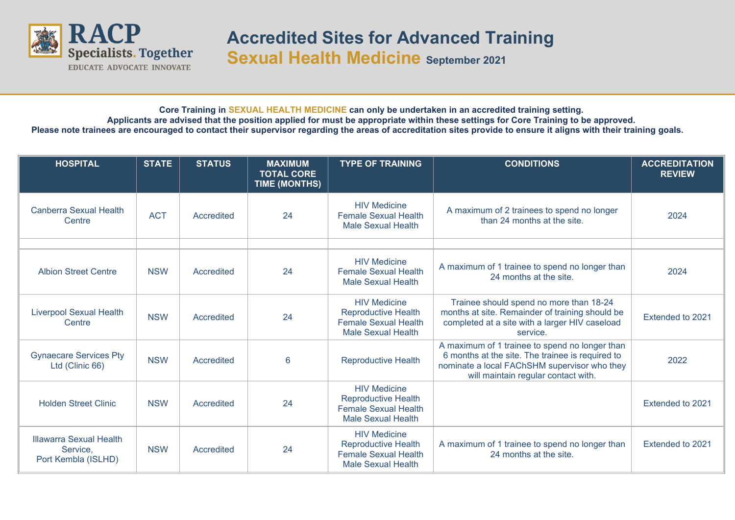

## **Core Training in SEXUAL HEALTH MEDICINE can only be undertaken in an accredited training setting. Applicants are advised that the position applied for must be appropriate within these settings for Core Training to be approved. Please note trainees are encouraged to contact their supervisor regarding the areas of accreditation sites provide to ensure it aligns with their training goals.**

| <b>HOSPITAL</b>                                                   | <b>STATE</b> | <b>STATUS</b>     | <b>MAXIMUM</b><br><b>TOTAL CORE</b><br>TIME (MONTHS) | <b>TYPE OF TRAINING</b>                                                                                       | <b>CONDITIONS</b>                                                                                                                                                                         | <b>ACCREDITATION</b><br><b>REVIEW</b> |
|-------------------------------------------------------------------|--------------|-------------------|------------------------------------------------------|---------------------------------------------------------------------------------------------------------------|-------------------------------------------------------------------------------------------------------------------------------------------------------------------------------------------|---------------------------------------|
| <b>Canberra Sexual Health</b><br>Centre                           | <b>ACT</b>   | <b>Accredited</b> | 24                                                   | <b>HIV Medicine</b><br><b>Female Sexual Health</b><br><b>Male Sexual Health</b>                               | A maximum of 2 trainees to spend no longer<br>than 24 months at the site.                                                                                                                 | 2024                                  |
|                                                                   |              |                   |                                                      |                                                                                                               |                                                                                                                                                                                           |                                       |
| <b>Albion Street Centre</b>                                       | <b>NSW</b>   | Accredited        | 24                                                   | <b>HIV Medicine</b><br><b>Female Sexual Health</b><br><b>Male Sexual Health</b>                               | A maximum of 1 trainee to spend no longer than<br>24 months at the site.                                                                                                                  | 2024                                  |
| <b>Liverpool Sexual Health</b><br>Centre                          | <b>NSW</b>   | Accredited        | 24                                                   | <b>HIV Medicine</b><br><b>Reproductive Health</b><br><b>Female Sexual Health</b><br><b>Male Sexual Health</b> | Trainee should spend no more than 18-24<br>months at site. Remainder of training should be<br>completed at a site with a larger HIV caseload<br>service.                                  | Extended to 2021                      |
| <b>Gynaecare Services Pty</b><br>Ltd (Clinic 66)                  | <b>NSW</b>   | <b>Accredited</b> | 6                                                    | <b>Reproductive Health</b>                                                                                    | A maximum of 1 trainee to spend no longer than<br>6 months at the site. The trainee is required to<br>nominate a local FAChSHM supervisor who they<br>will maintain regular contact with. | 2022                                  |
| <b>Holden Street Clinic</b>                                       | <b>NSW</b>   | <b>Accredited</b> | 24                                                   | <b>HIV Medicine</b><br><b>Reproductive Health</b><br><b>Female Sexual Health</b><br><b>Male Sexual Health</b> |                                                                                                                                                                                           | Extended to 2021                      |
| <b>Illawarra Sexual Health</b><br>Service,<br>Port Kembla (ISLHD) | <b>NSW</b>   | Accredited        | 24                                                   | <b>HIV Medicine</b><br><b>Reproductive Health</b><br><b>Female Sexual Health</b><br><b>Male Sexual Health</b> | A maximum of 1 trainee to spend no longer than<br>24 months at the site.                                                                                                                  | Extended to 2021                      |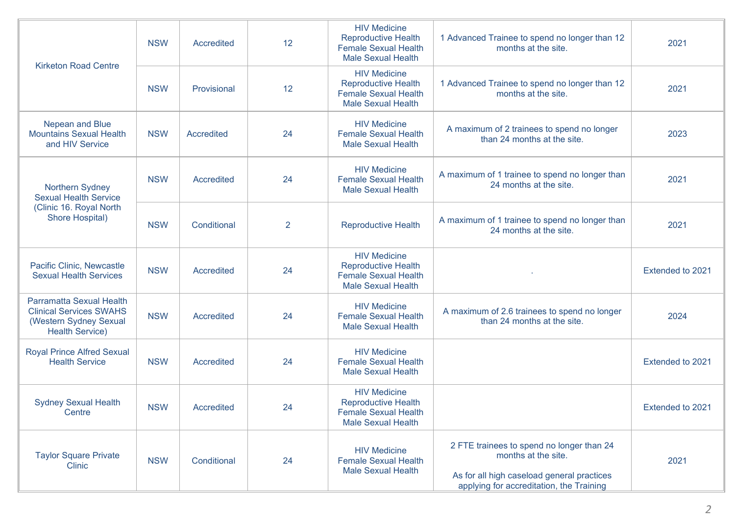| <b>Kirketon Road Centre</b>                                                                                    | <b>NSW</b> | <b>Accredited</b> | 12             | <b>HIV Medicine</b><br><b>Reproductive Health</b><br><b>Female Sexual Health</b><br><b>Male Sexual Health</b> | 1 Advanced Trainee to spend no longer than 12<br>months at the site.                                                                                       | 2021             |
|----------------------------------------------------------------------------------------------------------------|------------|-------------------|----------------|---------------------------------------------------------------------------------------------------------------|------------------------------------------------------------------------------------------------------------------------------------------------------------|------------------|
|                                                                                                                | <b>NSW</b> | Provisional       | 12             | <b>HIV Medicine</b><br><b>Reproductive Health</b><br><b>Female Sexual Health</b><br><b>Male Sexual Health</b> | 1 Advanced Trainee to spend no longer than 12<br>months at the site.                                                                                       | 2021             |
| Nepean and Blue<br><b>Mountains Sexual Health</b><br>and HIV Service                                           | <b>NSW</b> | Accredited        | 24             | <b>HIV Medicine</b><br><b>Female Sexual Health</b><br><b>Male Sexual Health</b>                               | A maximum of 2 trainees to spend no longer<br>than 24 months at the site.                                                                                  | 2023             |
| Northern Sydney<br><b>Sexual Health Service</b><br>(Clinic 16. Royal North<br>Shore Hospital)                  | <b>NSW</b> | <b>Accredited</b> | 24             | <b>HIV Medicine</b><br><b>Female Sexual Health</b><br><b>Male Sexual Health</b>                               | A maximum of 1 trainee to spend no longer than<br>24 months at the site.                                                                                   | 2021             |
|                                                                                                                | <b>NSW</b> | Conditional       | $\overline{2}$ | <b>Reproductive Health</b>                                                                                    | A maximum of 1 trainee to spend no longer than<br>24 months at the site.                                                                                   | 2021             |
| Pacific Clinic, Newcastle<br><b>Sexual Health Services</b>                                                     | <b>NSW</b> | <b>Accredited</b> | 24             | <b>HIV Medicine</b><br><b>Reproductive Health</b><br><b>Female Sexual Health</b><br><b>Male Sexual Health</b> |                                                                                                                                                            | Extended to 2021 |
| Parramatta Sexual Health<br><b>Clinical Services SWAHS</b><br>(Western Sydney Sexual<br><b>Health Service)</b> | <b>NSW</b> | <b>Accredited</b> | 24             | <b>HIV Medicine</b><br><b>Female Sexual Health</b><br><b>Male Sexual Health</b>                               | A maximum of 2.6 trainees to spend no longer<br>than 24 months at the site.                                                                                | 2024             |
| <b>Royal Prince Alfred Sexual</b><br><b>Health Service</b>                                                     | <b>NSW</b> | <b>Accredited</b> | 24             | <b>HIV Medicine</b><br><b>Female Sexual Health</b><br><b>Male Sexual Health</b>                               |                                                                                                                                                            | Extended to 2021 |
| <b>Sydney Sexual Health</b><br>Centre                                                                          | <b>NSW</b> | <b>Accredited</b> | 24             | <b>HIV Medicine</b><br><b>Reproductive Health</b><br><b>Female Sexual Health</b><br><b>Male Sexual Health</b> |                                                                                                                                                            | Extended to 2021 |
| <b>Taylor Square Private</b><br><b>Clinic</b>                                                                  | <b>NSW</b> | Conditional       | 24             | <b>HIV Medicine</b><br><b>Female Sexual Health</b><br><b>Male Sexual Health</b>                               | 2 FTE trainees to spend no longer than 24<br>months at the site.<br>As for all high caseload general practices<br>applying for accreditation, the Training | 2021             |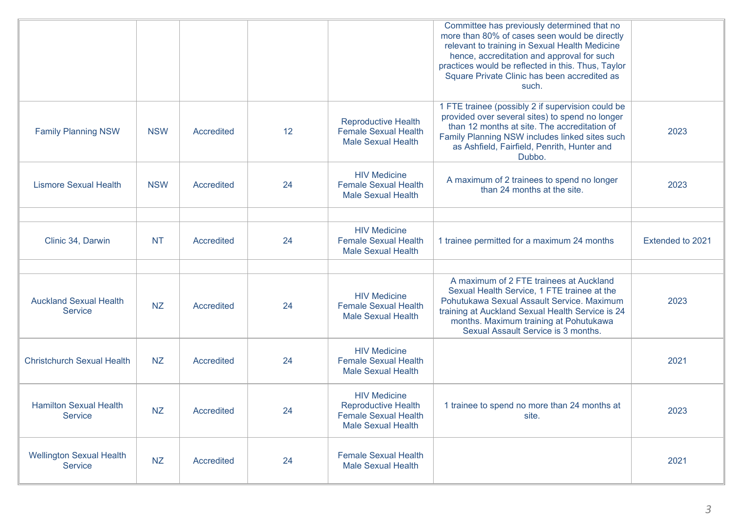|                                                 |            |            |    |                                                                                                               | Committee has previously determined that no<br>more than 80% of cases seen would be directly<br>relevant to training in Sexual Health Medicine<br>hence, accreditation and approval for such<br>practices would be reflected in this. Thus, Taylor<br>Square Private Clinic has been accredited as<br>such. |                  |
|-------------------------------------------------|------------|------------|----|---------------------------------------------------------------------------------------------------------------|-------------------------------------------------------------------------------------------------------------------------------------------------------------------------------------------------------------------------------------------------------------------------------------------------------------|------------------|
| <b>Family Planning NSW</b>                      | <b>NSW</b> | Accredited | 12 | <b>Reproductive Health</b><br><b>Female Sexual Health</b><br><b>Male Sexual Health</b>                        | 1 FTE trainee (possibly 2 if supervision could be<br>provided over several sites) to spend no longer<br>than 12 months at site. The accreditation of<br>Family Planning NSW includes linked sites such<br>as Ashfield, Fairfield, Penrith, Hunter and<br>Dubbo.                                             | 2023             |
| <b>Lismore Sexual Health</b>                    | <b>NSW</b> | Accredited | 24 | <b>HIV Medicine</b><br><b>Female Sexual Health</b><br><b>Male Sexual Health</b>                               | A maximum of 2 trainees to spend no longer<br>than 24 months at the site.                                                                                                                                                                                                                                   | 2023             |
|                                                 |            |            |    |                                                                                                               |                                                                                                                                                                                                                                                                                                             |                  |
| Clinic 34, Darwin                               | <b>NT</b>  | Accredited | 24 | <b>HIV Medicine</b><br><b>Female Sexual Health</b><br><b>Male Sexual Health</b>                               | 1 trainee permitted for a maximum 24 months                                                                                                                                                                                                                                                                 | Extended to 2021 |
|                                                 |            |            |    |                                                                                                               |                                                                                                                                                                                                                                                                                                             |                  |
| <b>Auckland Sexual Health</b><br><b>Service</b> | <b>NZ</b>  | Accredited | 24 | <b>HIV Medicine</b><br><b>Female Sexual Health</b><br><b>Male Sexual Health</b>                               | A maximum of 2 FTE trainees at Auckland<br>Sexual Health Service, 1 FTE trainee at the<br>Pohutukawa Sexual Assault Service. Maximum<br>training at Auckland Sexual Health Service is 24<br>months. Maximum training at Pohutukawa<br>Sexual Assault Service is 3 months.                                   | 2023             |
| <b>Christchurch Sexual Health</b>               | <b>NZ</b>  | Accredited | 24 | <b>HIV Medicine</b><br><b>Female Sexual Health</b><br><b>Male Sexual Health</b>                               |                                                                                                                                                                                                                                                                                                             | 2021             |
| <b>Hamilton Sexual Health</b><br><b>Service</b> | <b>NZ</b>  | Accredited | 24 | <b>HIV Medicine</b><br><b>Reproductive Health</b><br><b>Female Sexual Health</b><br><b>Male Sexual Health</b> | 1 trainee to spend no more than 24 months at<br>site.                                                                                                                                                                                                                                                       | 2023             |
| <b>Wellington Sexual Health</b><br>Service      | <b>NZ</b>  | Accredited | 24 | <b>Female Sexual Health</b><br><b>Male Sexual Health</b>                                                      |                                                                                                                                                                                                                                                                                                             | 2021             |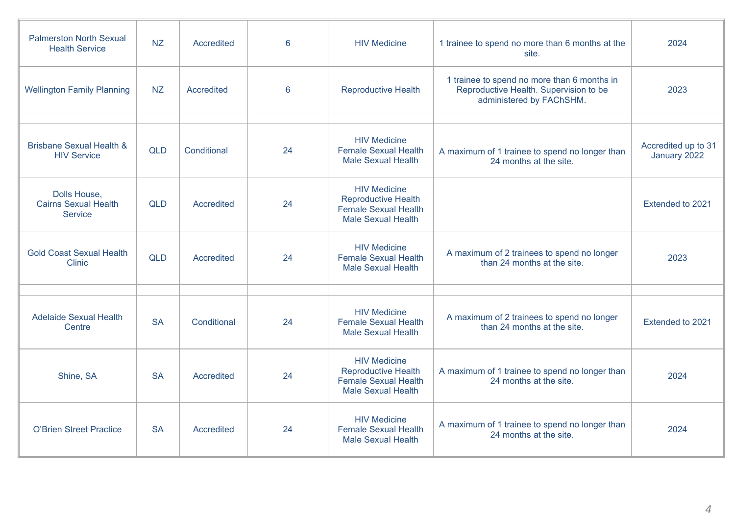| <b>Palmerston North Sexual</b><br><b>Health Service</b>       | <b>NZ</b>  | <b>Accredited</b> | 6  | <b>HIV Medicine</b>                                                                                           | 1 trainee to spend no more than 6 months at the<br>site.                                                          | 2024                                |
|---------------------------------------------------------------|------------|-------------------|----|---------------------------------------------------------------------------------------------------------------|-------------------------------------------------------------------------------------------------------------------|-------------------------------------|
| <b>Wellington Family Planning</b>                             | <b>NZ</b>  | Accredited        | 6  | <b>Reproductive Health</b>                                                                                    | 1 trainee to spend no more than 6 months in<br>Reproductive Health. Supervision to be<br>administered by FAChSHM. | 2023                                |
|                                                               |            |                   |    |                                                                                                               |                                                                                                                   |                                     |
| <b>Brisbane Sexual Health &amp;</b><br><b>HIV Service</b>     | <b>QLD</b> | Conditional       | 24 | <b>HIV Medicine</b><br><b>Female Sexual Health</b><br><b>Male Sexual Health</b>                               | A maximum of 1 trainee to spend no longer than<br>24 months at the site.                                          | Accredited up to 31<br>January 2022 |
| Dolls House,<br><b>Cairns Sexual Health</b><br><b>Service</b> | <b>QLD</b> | Accredited        | 24 | <b>HIV Medicine</b><br><b>Reproductive Health</b><br><b>Female Sexual Health</b><br><b>Male Sexual Health</b> |                                                                                                                   | Extended to 2021                    |
| <b>Gold Coast Sexual Health</b><br><b>Clinic</b>              | <b>QLD</b> | Accredited        | 24 | <b>HIV Medicine</b><br><b>Female Sexual Health</b><br><b>Male Sexual Health</b>                               | A maximum of 2 trainees to spend no longer<br>than 24 months at the site.                                         | 2023                                |
|                                                               |            |                   |    |                                                                                                               |                                                                                                                   |                                     |
| <b>Adelaide Sexual Health</b><br>Centre                       | <b>SA</b>  | Conditional       | 24 | <b>HIV Medicine</b><br><b>Female Sexual Health</b><br><b>Male Sexual Health</b>                               | A maximum of 2 trainees to spend no longer<br>than 24 months at the site.                                         | Extended to 2021                    |
| Shine, SA                                                     | <b>SA</b>  | <b>Accredited</b> | 24 | <b>HIV Medicine</b><br><b>Reproductive Health</b><br><b>Female Sexual Health</b><br><b>Male Sexual Health</b> | A maximum of 1 trainee to spend no longer than<br>24 months at the site.                                          | 2024                                |
| <b>O'Brien Street Practice</b>                                | <b>SA</b>  | <b>Accredited</b> | 24 | <b>HIV Medicine</b><br><b>Female Sexual Health</b><br><b>Male Sexual Health</b>                               | A maximum of 1 trainee to spend no longer than<br>24 months at the site.                                          | 2024                                |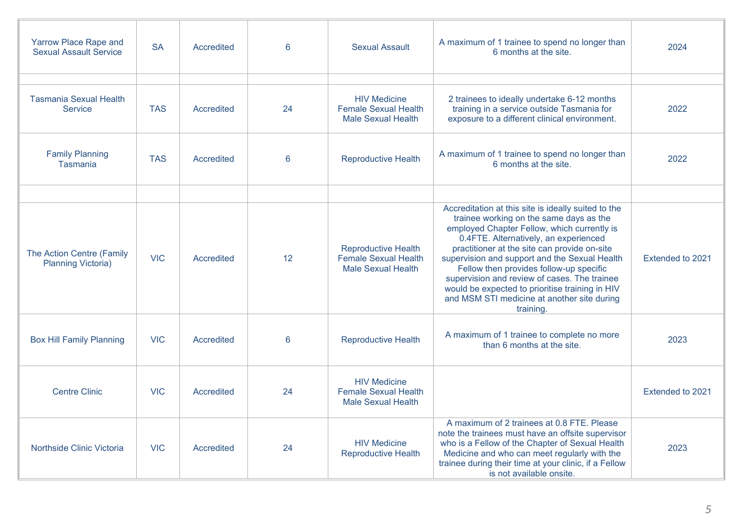| Yarrow Place Rape and<br><b>Sexual Assault Service</b> | <b>SA</b>  | Accredited | 6  | <b>Sexual Assault</b>                                                                  | A maximum of 1 trainee to spend no longer than<br>6 months at the site.                                                                                                                                                                                                                                                                                                                                                                                                                           | 2024             |
|--------------------------------------------------------|------------|------------|----|----------------------------------------------------------------------------------------|---------------------------------------------------------------------------------------------------------------------------------------------------------------------------------------------------------------------------------------------------------------------------------------------------------------------------------------------------------------------------------------------------------------------------------------------------------------------------------------------------|------------------|
|                                                        |            |            |    |                                                                                        |                                                                                                                                                                                                                                                                                                                                                                                                                                                                                                   |                  |
| <b>Tasmania Sexual Health</b><br><b>Service</b>        | <b>TAS</b> | Accredited | 24 | <b>HIV Medicine</b><br><b>Female Sexual Health</b><br><b>Male Sexual Health</b>        | 2 trainees to ideally undertake 6-12 months<br>training in a service outside Tasmania for<br>exposure to a different clinical environment.                                                                                                                                                                                                                                                                                                                                                        | 2022             |
| <b>Family Planning</b><br><b>Tasmania</b>              | <b>TAS</b> | Accredited | 6  | <b>Reproductive Health</b>                                                             | A maximum of 1 trainee to spend no longer than<br>6 months at the site.                                                                                                                                                                                                                                                                                                                                                                                                                           | 2022             |
|                                                        |            |            |    |                                                                                        |                                                                                                                                                                                                                                                                                                                                                                                                                                                                                                   |                  |
| The Action Centre (Family<br><b>Planning Victoria)</b> | <b>VIC</b> | Accredited | 12 | <b>Reproductive Health</b><br><b>Female Sexual Health</b><br><b>Male Sexual Health</b> | Accreditation at this site is ideally suited to the<br>trainee working on the same days as the<br>employed Chapter Fellow, which currently is<br>0.4FTE. Alternatively, an experienced<br>practitioner at the site can provide on-site<br>supervision and support and the Sexual Health<br>Fellow then provides follow-up specific<br>supervision and review of cases. The trainee<br>would be expected to prioritise training in HIV<br>and MSM STI medicine at another site during<br>training. | Extended to 2021 |
| <b>Box Hill Family Planning</b>                        | <b>VIC</b> | Accredited | 6  | <b>Reproductive Health</b>                                                             | A maximum of 1 trainee to complete no more<br>than 6 months at the site.                                                                                                                                                                                                                                                                                                                                                                                                                          | 2023             |
| <b>Centre Clinic</b>                                   | <b>VIC</b> | Accredited | 24 | <b>HIV Medicine</b><br><b>Female Sexual Health</b><br><b>Male Sexual Health</b>        |                                                                                                                                                                                                                                                                                                                                                                                                                                                                                                   | Extended to 2021 |
| Northside Clinic Victoria                              | <b>VIC</b> | Accredited | 24 | <b>HIV Medicine</b><br><b>Reproductive Health</b>                                      | A maximum of 2 trainees at 0.8 FTE. Please<br>note the trainees must have an offsite supervisor<br>who is a Fellow of the Chapter of Sexual Health<br>Medicine and who can meet regularly with the<br>trainee during their time at your clinic, if a Fellow<br>is not available onsite.                                                                                                                                                                                                           | 2023             |